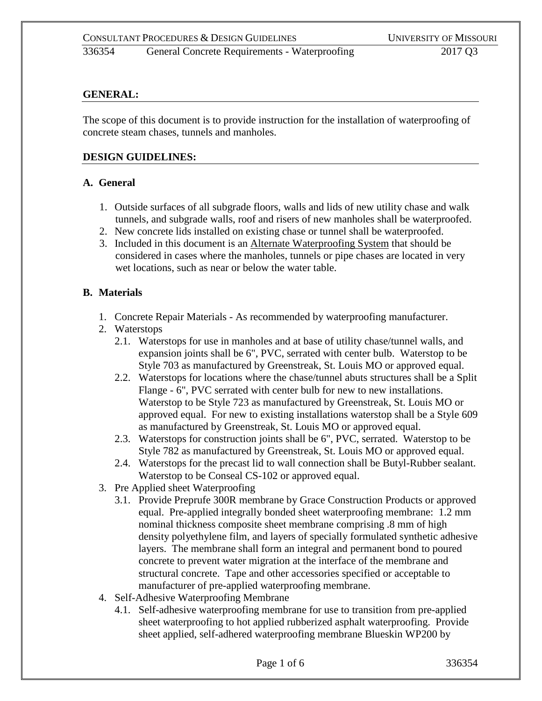### **GENERAL:**

The scope of this document is to provide instruction for the installation of waterproofing of concrete steam chases, tunnels and manholes.

#### **DESIGN GUIDELINES:**

#### **A. General**

- 1. Outside surfaces of all subgrade floors, walls and lids of new utility chase and walk tunnels, and subgrade walls, roof and risers of new manholes shall be waterproofed.
- 2. New concrete lids installed on existing chase or tunnel shall be waterproofed.
- 3. Included in this document is an Alternate Waterproofing System that should be considered in cases where the manholes, tunnels or pipe chases are located in very wet locations, such as near or below the water table.

#### **B. Materials**

- 1. Concrete Repair Materials As recommended by waterproofing manufacturer.
- 2. Waterstops
	- 2.1. Waterstops for use in manholes and at base of utility chase/tunnel walls, and expansion joints shall be 6", PVC, serrated with center bulb. Waterstop to be Style 703 as manufactured by Greenstreak, St. Louis MO or approved equal.
	- 2.2. Waterstops for locations where the chase/tunnel abuts structures shall be a Split Flange - 6", PVC serrated with center bulb for new to new installations. Waterstop to be Style 723 as manufactured by Greenstreak, St. Louis MO or approved equal. For new to existing installations waterstop shall be a Style 609 as manufactured by Greenstreak, St. Louis MO or approved equal.
	- 2.3. Waterstops for construction joints shall be 6", PVC, serrated. Waterstop to be Style 782 as manufactured by Greenstreak, St. Louis MO or approved equal.
	- 2.4. Waterstops for the precast lid to wall connection shall be Butyl-Rubber sealant. Waterstop to be Conseal CS-102 or approved equal.
- 3. Pre Applied sheet Waterproofing
	- 3.1. Provide Preprufe 300R membrane by Grace Construction Products or approved equal. Pre-applied integrally bonded sheet waterproofing membrane: 1.2 mm nominal thickness composite sheet membrane comprising .8 mm of high density polyethylene film, and layers of specially formulated synthetic adhesive layers. The membrane shall form an integral and permanent bond to poured concrete to prevent water migration at the interface of the membrane and structural concrete. Tape and other accessories specified or acceptable to manufacturer of pre-applied waterproofing membrane.
- 4. Self-Adhesive Waterproofing Membrane
	- 4.1. Self-adhesive waterproofing membrane for use to transition from pre-applied sheet waterproofing to hot applied rubberized asphalt waterproofing. Provide sheet applied, self-adhered waterproofing membrane Blueskin WP200 by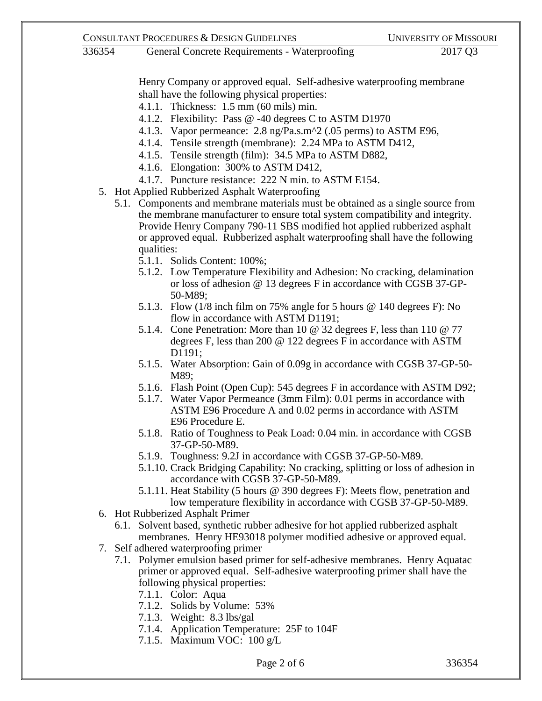## 336354 General Concrete Requirements - Waterproofing 2017 Q3

Henry Company or approved equal. Self-adhesive waterproofing membrane shall have the following physical properties:

- 4.1.1. Thickness: 1.5 mm (60 mils) min.
- 4.1.2. Flexibility: Pass @ -40 degrees C to ASTM D1970
- 4.1.3. Vapor permeance: 2.8 ng/Pa.s.m^2 (.05 perms) to ASTM E96,
- 4.1.4. Tensile strength (membrane): 2.24 MPa to ASTM D412,
- 4.1.5. Tensile strength (film): 34.5 MPa to ASTM D882,
- 4.1.6. Elongation: 300% to ASTM D412,
- 4.1.7. Puncture resistance: 222 N min. to ASTM E154.
- 5. Hot Applied Rubberized Asphalt Waterproofing
	- 5.1. Components and membrane materials must be obtained as a single source from the membrane manufacturer to ensure total system compatibility and integrity. Provide Henry Company 790-11 SBS modified hot applied rubberized asphalt or approved equal. Rubberized asphalt waterproofing shall have the following qualities:
		- 5.1.1. Solids Content: 100%;
		- 5.1.2. Low Temperature Flexibility and Adhesion: No cracking, delamination or loss of adhesion @ 13 degrees F in accordance with CGSB 37-GP-50-M89;
		- 5.1.3. Flow (1/8 inch film on 75% angle for 5 hours @ 140 degrees F): No flow in accordance with ASTM D1191;
		- 5.1.4. Cone Penetration: More than 10 @ 32 degrees F, less than 110 @ 77 degrees F, less than 200 @ 122 degrees F in accordance with ASTM D<sub>1191</sub>:
		- 5.1.5. Water Absorption: Gain of 0.09g in accordance with CGSB 37-GP-50- M89;
		- 5.1.6. Flash Point (Open Cup): 545 degrees F in accordance with ASTM D92;
		- 5.1.7. Water Vapor Permeance (3mm Film): 0.01 perms in accordance with ASTM E96 Procedure A and 0.02 perms in accordance with ASTM E96 Procedure E.
		- 5.1.8. Ratio of Toughness to Peak Load: 0.04 min. in accordance with CGSB 37-GP-50-M89.
		- 5.1.9. Toughness: 9.2J in accordance with CGSB 37-GP-50-M89.
		- 5.1.10. Crack Bridging Capability: No cracking, splitting or loss of adhesion in accordance with CGSB 37-GP-50-M89.
		- 5.1.11. Heat Stability (5 hours @ 390 degrees F): Meets flow, penetration and low temperature flexibility in accordance with CGSB 37-GP-50-M89.
- 6. Hot Rubberized Asphalt Primer
	- 6.1. Solvent based, synthetic rubber adhesive for hot applied rubberized asphalt membranes. Henry HE93018 polymer modified adhesive or approved equal.
- 7. Self adhered waterproofing primer
	- 7.1. Polymer emulsion based primer for self-adhesive membranes. Henry Aquatac primer or approved equal. Self-adhesive waterproofing primer shall have the following physical properties:
		- 7.1.1. Color: Aqua
		- 7.1.2. Solids by Volume: 53%
		- 7.1.3. Weight: 8.3 lbs/gal
		- 7.1.4. Application Temperature: 25F to 104F
		- 7.1.5. Maximum VOC: 100 g/L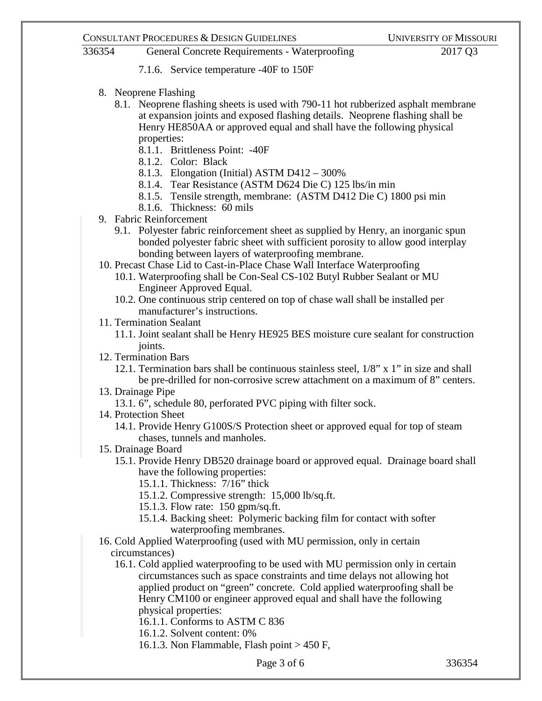# 336354 General Concrete Requirements - Waterproofing 2017 Q3

- 7.1.6. Service temperature -40F to 150F
- 8. Neoprene Flashing
	- 8.1. Neoprene flashing sheets is used with 790-11 hot rubberized asphalt membrane at expansion joints and exposed flashing details. Neoprene flashing shall be Henry HE850AA or approved equal and shall have the following physical properties:
		- 8.1.1. Brittleness Point: -40F
		- 8.1.2. Color: Black
		- 8.1.3. Elongation (Initial) ASTM D412 300%
		- 8.1.4. Tear Resistance (ASTM D624 Die C) 125 lbs/in min
		- 8.1.5. Tensile strength, membrane: (ASTM D412 Die C) 1800 psi min
		- 8.1.6. Thickness: 60 mils
- 9. Fabric Reinforcement
	- 9.1. Polyester fabric reinforcement sheet as supplied by Henry, an inorganic spun bonded polyester fabric sheet with sufficient porosity to allow good interplay bonding between layers of waterproofing membrane.
- 10. Precast Chase Lid to Cast-in-Place Chase Wall Interface Waterproofing
	- 10.1. Waterproofing shall be Con-Seal CS-102 Butyl Rubber Sealant or MU Engineer Approved Equal.
	- 10.2. One continuous strip centered on top of chase wall shall be installed per manufacturer's instructions.
- 11. Termination Sealant
	- 11.1. Joint sealant shall be Henry HE925 BES moisture cure sealant for construction joints.
- 12. Termination Bars
	- 12.1. Termination bars shall be continuous stainless steel,  $1/8$ " x 1" in size and shall be pre-drilled for non-corrosive screw attachment on a maximum of 8" centers.
- 13. Drainage Pipe
	- 13.1. 6", schedule 80, perforated PVC piping with filter sock.
- 14. Protection Sheet
	- 14.1. Provide Henry G100S/S Protection sheet or approved equal for top of steam chases, tunnels and manholes.
- 15. Drainage Board
	- 15.1. Provide Henry DB520 drainage board or approved equal. Drainage board shall have the following properties:
		- 15.1.1. Thickness: 7/16" thick
		- 15.1.2. Compressive strength: 15,000 lb/sq.ft.
		- 15.1.3. Flow rate: 150 gpm/sq.ft.
		- 15.1.4. Backing sheet: Polymeric backing film for contact with softer waterproofing membranes.
- 16. Cold Applied Waterproofing (used with MU permission, only in certain circumstances)
	- 16.1. Cold applied waterproofing to be used with MU permission only in certain circumstances such as space constraints and time delays not allowing hot applied product on "green" concrete. Cold applied waterproofing shall be Henry CM100 or engineer approved equal and shall have the following physical properties:

16.1.1. Conforms to ASTM C 836

- 16.1.2. Solvent content: 0%
- 16.1.3. Non Flammable, Flash point > 450 F,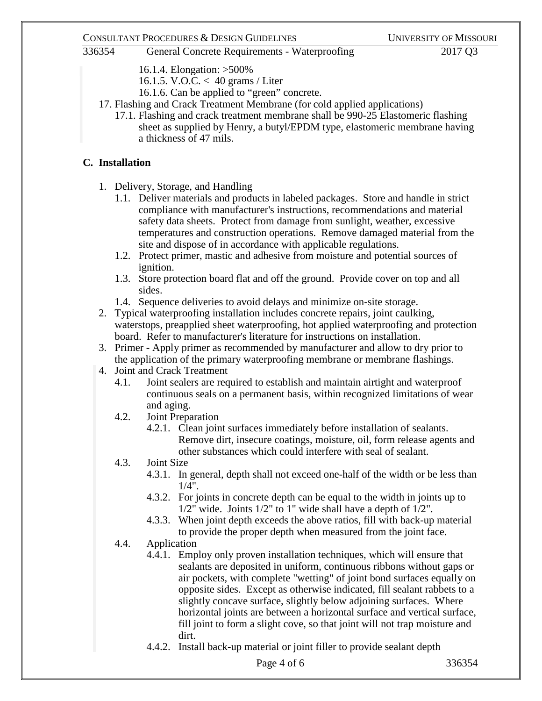### CONSULTANT PROCEDURES & DESIGN GUIDELINES UNIVERSITY OF MISSOURI

# 336354 General Concrete Requirements - Waterproofing 2017 Q3

- 16.1.4. Elongation: >500%
- 16.1.5. V.O.C. < 40 grams / Liter
- 16.1.6. Can be applied to "green" concrete.
- 17. Flashing and Crack Treatment Membrane (for cold applied applications)
	- 17.1. Flashing and crack treatment membrane shall be 990-25 Elastomeric flashing sheet as supplied by Henry, a butyl/EPDM type, elastomeric membrane having a thickness of 47 mils.

## **C. Installation**

- 1. Delivery, Storage, and Handling
	- 1.1. Deliver materials and products in labeled packages. Store and handle in strict compliance with manufacturer's instructions, recommendations and material safety data sheets. Protect from damage from sunlight, weather, excessive temperatures and construction operations. Remove damaged material from the site and dispose of in accordance with applicable regulations.
	- 1.2. Protect primer, mastic and adhesive from moisture and potential sources of ignition.
	- 1.3. Store protection board flat and off the ground. Provide cover on top and all sides.
	- 1.4. Sequence deliveries to avoid delays and minimize on-site storage.
- 2. Typical waterproofing installation includes concrete repairs, joint caulking, waterstops, preapplied sheet waterproofing, hot applied waterproofing and protection board. Refer to manufacturer's literature for instructions on installation.
- 3. Primer Apply primer as recommended by manufacturer and allow to dry prior to the application of the primary waterproofing membrane or membrane flashings.
- 4. Joint and Crack Treatment
	- 4.1. Joint sealers are required to establish and maintain airtight and waterproof continuous seals on a permanent basis, within recognized limitations of wear and aging.
	- 4.2. Joint Preparation
		- 4.2.1. Clean joint surfaces immediately before installation of sealants. Remove dirt, insecure coatings, moisture, oil, form release agents and other substances which could interfere with seal of sealant.
	- 4.3. Joint Size
		- 4.3.1. In general, depth shall not exceed one-half of the width or be less than 1/4".
		- 4.3.2. For joints in concrete depth can be equal to the width in joints up to  $1/2$ " wide. Joints  $1/2$ " to 1" wide shall have a depth of  $1/2$ ".
		- 4.3.3. When joint depth exceeds the above ratios, fill with back-up material to provide the proper depth when measured from the joint face.
	- 4.4. Application
		- 4.4.1. Employ only proven installation techniques, which will ensure that sealants are deposited in uniform, continuous ribbons without gaps or air pockets, with complete "wetting" of joint bond surfaces equally on opposite sides. Except as otherwise indicated, fill sealant rabbets to a slightly concave surface, slightly below adjoining surfaces. Where horizontal joints are between a horizontal surface and vertical surface, fill joint to form a slight cove, so that joint will not trap moisture and dirt.
		- 4.4.2. Install back-up material or joint filler to provide sealant depth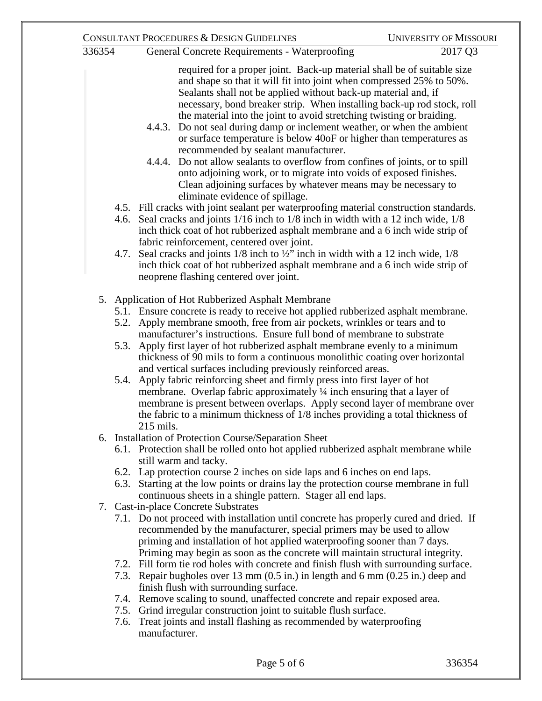| 336354 |                                                    | <b>General Concrete Requirements - Waterproofing</b>                                                                                                                                                                                                                                                                                                                                                                                                                                                                                                                                                                                                                                                                                                                                                                                                                                                                                                                                                                                                                                                                                                                                                                                                                                                                           | 2017 Q3 |
|--------|----------------------------------------------------|--------------------------------------------------------------------------------------------------------------------------------------------------------------------------------------------------------------------------------------------------------------------------------------------------------------------------------------------------------------------------------------------------------------------------------------------------------------------------------------------------------------------------------------------------------------------------------------------------------------------------------------------------------------------------------------------------------------------------------------------------------------------------------------------------------------------------------------------------------------------------------------------------------------------------------------------------------------------------------------------------------------------------------------------------------------------------------------------------------------------------------------------------------------------------------------------------------------------------------------------------------------------------------------------------------------------------------|---------|
|        | 4.7.                                               | required for a proper joint. Back-up material shall be of suitable size<br>and shape so that it will fit into joint when compressed 25% to 50%.<br>Sealants shall not be applied without back-up material and, if<br>necessary, bond breaker strip. When installing back-up rod stock, roll<br>the material into the joint to avoid stretching twisting or braiding.<br>Do not seal during damp or inclement weather, or when the ambient<br>4.4.3.<br>or surface temperature is below 40oF or higher than temperatures as<br>recommended by sealant manufacturer.<br>4.4.4. Do not allow sealants to overflow from confines of joints, or to spill<br>onto adjoining work, or to migrate into voids of exposed finishes.<br>Clean adjoining surfaces by whatever means may be necessary to<br>eliminate evidence of spillage.<br>4.5. Fill cracks with joint sealant per waterproofing material construction standards.<br>4.6. Seal cracks and joints 1/16 inch to 1/8 inch in width with a 12 inch wide, 1/8<br>inch thick coat of hot rubberized asphalt membrane and a 6 inch wide strip of<br>fabric reinforcement, centered over joint.<br>Seal cracks and joints $1/8$ inch to $\frac{1}{2}$ inch in width with a 12 inch wide, $1/8$<br>inch thick coat of hot rubberized asphalt membrane and a 6 inch wide strip of |         |
|        |                                                    | neoprene flashing centered over joint.                                                                                                                                                                                                                                                                                                                                                                                                                                                                                                                                                                                                                                                                                                                                                                                                                                                                                                                                                                                                                                                                                                                                                                                                                                                                                         |         |
|        |                                                    | 5. Application of Hot Rubberized Asphalt Membrane                                                                                                                                                                                                                                                                                                                                                                                                                                                                                                                                                                                                                                                                                                                                                                                                                                                                                                                                                                                                                                                                                                                                                                                                                                                                              |         |
|        |                                                    | 5.1. Ensure concrete is ready to receive hot applied rubberized asphalt membrane.                                                                                                                                                                                                                                                                                                                                                                                                                                                                                                                                                                                                                                                                                                                                                                                                                                                                                                                                                                                                                                                                                                                                                                                                                                              |         |
|        |                                                    | 5.2. Apply membrane smooth, free from air pockets, wrinkles or tears and to                                                                                                                                                                                                                                                                                                                                                                                                                                                                                                                                                                                                                                                                                                                                                                                                                                                                                                                                                                                                                                                                                                                                                                                                                                                    |         |
|        | 5.3.                                               | manufacturer's instructions. Ensure full bond of membrane to substrate<br>Apply first layer of hot rubberized asphalt membrane evenly to a minimum<br>thickness of 90 mils to form a continuous monolithic coating over horizontal<br>and vertical surfaces including previously reinforced areas.                                                                                                                                                                                                                                                                                                                                                                                                                                                                                                                                                                                                                                                                                                                                                                                                                                                                                                                                                                                                                             |         |
|        | 5.4.                                               | Apply fabric reinforcing sheet and firmly press into first layer of hot<br>membrane. Overlap fabric approximately $\frac{1}{4}$ inch ensuring that a layer of<br>membrane is present between overlaps. Apply second layer of membrane over<br>the fabric to a minimum thickness of 1/8 inches providing a total thickness of<br>215 mils.                                                                                                                                                                                                                                                                                                                                                                                                                                                                                                                                                                                                                                                                                                                                                                                                                                                                                                                                                                                      |         |
| 6.     | Installation of Protection Course/Separation Sheet |                                                                                                                                                                                                                                                                                                                                                                                                                                                                                                                                                                                                                                                                                                                                                                                                                                                                                                                                                                                                                                                                                                                                                                                                                                                                                                                                |         |
|        |                                                    | 6.1. Protection shall be rolled onto hot applied rubberized asphalt membrane while<br>still warm and tacky.                                                                                                                                                                                                                                                                                                                                                                                                                                                                                                                                                                                                                                                                                                                                                                                                                                                                                                                                                                                                                                                                                                                                                                                                                    |         |
|        |                                                    | 6.2. Lap protection course 2 inches on side laps and 6 inches on end laps.                                                                                                                                                                                                                                                                                                                                                                                                                                                                                                                                                                                                                                                                                                                                                                                                                                                                                                                                                                                                                                                                                                                                                                                                                                                     |         |
|        |                                                    | 6.3. Starting at the low points or drains lay the protection course membrane in full<br>continuous sheets in a shingle pattern. Stager all end laps.                                                                                                                                                                                                                                                                                                                                                                                                                                                                                                                                                                                                                                                                                                                                                                                                                                                                                                                                                                                                                                                                                                                                                                           |         |
|        | 7. Cast-in-place Concrete Substrates               |                                                                                                                                                                                                                                                                                                                                                                                                                                                                                                                                                                                                                                                                                                                                                                                                                                                                                                                                                                                                                                                                                                                                                                                                                                                                                                                                |         |
|        |                                                    | 7.1. Do not proceed with installation until concrete has properly cured and dried. If<br>recommended by the manufacturer, special primers may be used to allow<br>priming and installation of hot applied waterproofing sooner than 7 days.<br>Priming may begin as soon as the concrete will maintain structural integrity.                                                                                                                                                                                                                                                                                                                                                                                                                                                                                                                                                                                                                                                                                                                                                                                                                                                                                                                                                                                                   |         |
|        |                                                    | 7.2. Fill form tie rod holes with concrete and finish flush with surrounding surface.<br>7.3. Repair bugholes over 13 mm (0.5 in.) in length and 6 mm (0.25 in.) deep and                                                                                                                                                                                                                                                                                                                                                                                                                                                                                                                                                                                                                                                                                                                                                                                                                                                                                                                                                                                                                                                                                                                                                      |         |
|        |                                                    | finish flush with surrounding surface.                                                                                                                                                                                                                                                                                                                                                                                                                                                                                                                                                                                                                                                                                                                                                                                                                                                                                                                                                                                                                                                                                                                                                                                                                                                                                         |         |
|        |                                                    | 7.4. Remove scaling to sound, unaffected concrete and repair exposed area.                                                                                                                                                                                                                                                                                                                                                                                                                                                                                                                                                                                                                                                                                                                                                                                                                                                                                                                                                                                                                                                                                                                                                                                                                                                     |         |
|        |                                                    | 7.5. Grind irregular construction joint to suitable flush surface.                                                                                                                                                                                                                                                                                                                                                                                                                                                                                                                                                                                                                                                                                                                                                                                                                                                                                                                                                                                                                                                                                                                                                                                                                                                             |         |
|        |                                                    | 76 Treat joints and install flashing as recommended by waterproofing                                                                                                                                                                                                                                                                                                                                                                                                                                                                                                                                                                                                                                                                                                                                                                                                                                                                                                                                                                                                                                                                                                                                                                                                                                                           |         |

7.6. Treat joints and install flashing as recommended by waterproofing manufacturer.